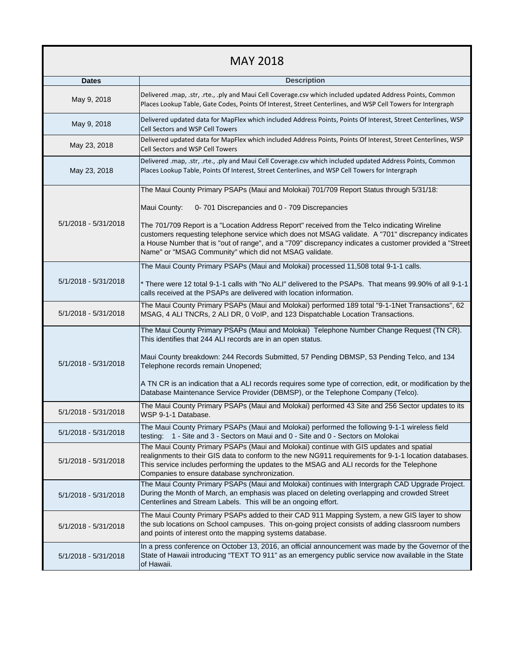| <b>MAY 2018</b>      |                                                                                                                                                                                                                                                                                                                                                                         |
|----------------------|-------------------------------------------------------------------------------------------------------------------------------------------------------------------------------------------------------------------------------------------------------------------------------------------------------------------------------------------------------------------------|
| <b>Dates</b>         | <b>Description</b>                                                                                                                                                                                                                                                                                                                                                      |
| May 9, 2018          | Delivered .map, .str, .rte., .ply and Maui Cell Coverage.csv which included updated Address Points, Common<br>Places Lookup Table, Gate Codes, Points Of Interest, Street Centerlines, and WSP Cell Towers for Intergraph                                                                                                                                               |
| May 9, 2018          | Delivered updated data for MapFlex which included Address Points, Points Of Interest, Street Centerlines, WSP<br>Cell Sectors and WSP Cell Towers                                                                                                                                                                                                                       |
| May 23, 2018         | Delivered updated data for MapFlex which included Address Points, Points Of Interest, Street Centerlines, WSP<br>Cell Sectors and WSP Cell Towers                                                                                                                                                                                                                       |
| May 23, 2018         | Delivered .map, .str, .rte., .ply and Maui Cell Coverage.csv which included updated Address Points, Common<br>Places Lookup Table, Points Of Interest, Street Centerlines, and WSP Cell Towers for Intergraph                                                                                                                                                           |
| 5/1/2018 - 5/31/2018 | The Maui County Primary PSAPs (Maui and Molokai) 701/709 Report Status through 5/31/18:                                                                                                                                                                                                                                                                                 |
|                      | Maui County:<br>0-701 Discrepancies and 0 - 709 Discrepancies                                                                                                                                                                                                                                                                                                           |
|                      | The 701/709 Report is a "Location Address Report" received from the Telco indicating Wireline<br>customers requesting telephone service which does not MSAG validate. A "701" discrepancy indicates<br>a House Number that is "out of range", and a "709" discrepancy indicates a customer provided a "Street<br>Name" or "MSAG Community" which did not MSAG validate. |
| 5/1/2018 - 5/31/2018 | The Maui County Primary PSAPs (Maui and Molokai) processed 11,508 total 9-1-1 calls.                                                                                                                                                                                                                                                                                    |
|                      | * There were 12 total 9-1-1 calls with "No ALI" delivered to the PSAPs. That means 99.90% of all 9-1-1<br>calls received at the PSAPs are delivered with location information.                                                                                                                                                                                          |
| 5/1/2018 - 5/31/2018 | The Maui County Primary PSAPs (Maui and Molokai) performed 189 total "9-1-1Net Transactions", 62<br>MSAG, 4 ALI TNCRs, 2 ALI DR, 0 VoIP, and 123 Dispatchable Location Transactions.                                                                                                                                                                                    |
|                      | The Maui County Primary PSAPs (Maui and Molokai) Telephone Number Change Request (TN CR).<br>This identifies that 244 ALI records are in an open status.                                                                                                                                                                                                                |
| 5/1/2018 - 5/31/2018 | Maui County breakdown: 244 Records Submitted, 57 Pending DBMSP, 53 Pending Telco, and 134<br>Telephone records remain Unopened;                                                                                                                                                                                                                                         |
|                      | A TN CR is an indication that a ALI records requires some type of correction, edit, or modification by the<br>Database Maintenance Service Provider (DBMSP), or the Telephone Company (Telco).                                                                                                                                                                          |
| 5/1/2018 - 5/31/2018 | The Maui County Primary PSAPs (Maui and Molokai) performed 43 Site and 256 Sector updates to its<br>WSP 9-1-1 Database.                                                                                                                                                                                                                                                 |
| 5/1/2018 - 5/31/2018 | The Maui County Primary PSAPs (Maui and Molokai) performed the following 9-1-1 wireless field<br>1 - Site and 3 - Sectors on Maui and 0 - Site and 0 - Sectors on Molokai<br>testing:                                                                                                                                                                                   |
| 5/1/2018 - 5/31/2018 | The Maui County Primary PSAPs (Maui and Molokai) continue with GIS updates and spatial<br>realignments to their GIS data to conform to the new NG911 requirements for 9-1-1 location databases.<br>This service includes performing the updates to the MSAG and ALI records for the Telephone<br>Companies to ensure database synchronization.                          |
| 5/1/2018 - 5/31/2018 | The Maui County Primary PSAPs (Maui and Molokai) continues with Intergraph CAD Upgrade Project.<br>During the Month of March, an emphasis was placed on deleting overlapping and crowded Street<br>Centerlines and Stream Labels. This will be an ongoing effort.                                                                                                       |
| 5/1/2018 - 5/31/2018 | The Maui County Primary PSAPs added to their CAD 911 Mapping System, a new GIS layer to show<br>the sub locations on School campuses. This on-going project consists of adding classroom numbers<br>and points of interest onto the mapping systems database.                                                                                                           |
| 5/1/2018 - 5/31/2018 | In a press conference on October 13, 2016, an official announcement was made by the Governor of the<br>State of Hawaii introducing "TEXT TO 911" as an emergency public service now available in the State<br>of Hawaii.                                                                                                                                                |